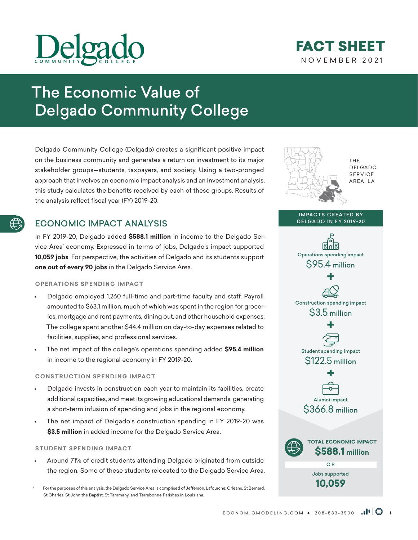

## NOVEMBER 2021 FACT SHEET

**THF** DELGADO **SERVICE** AREA, LA

# The Economic Value of Delgado Community College

Delgado Community College (Delgado) creates a significant positive impact on the business community and generates a return on investment to its major stakeholder groups—students, taxpayers, and society. Using a two-pronged approach that involves an economic impact analysis and an investment analysis, this study calculates the benefits received by each of these groups. Results of the analysis reflect fiscal year (FY) 2019-20.

## ECONOMIC IMPACT ANALYSIS

In FY 2019-20, Delgado added **\$588.1 million** in income to the Delgado Service Area\* economy. Expressed in terms of jobs, Delgado's impact supported **10,059 jobs**. For perspective, the activities of Delgado and its students support **one out of every 90 jobs** in the Delgado Service Area.

#### **OPERATIONS SPENDING IMPACT**

- Delgado employed 1,260 full-time and part-time faculty and staff. Payroll amounted to \$63.1 million, much of which was spent in the region for groceries, mortgage and rent payments, dining out, and other household expenses. The college spent another \$44.4 million on day-to-day expenses related to facilities, supplies, and professional services.
- The net impact of the college's operations spending added **\$95.4 million** in income to the regional economy in FY 2019-20.

#### **CONSTRUCTION SPENDING IMPACT**

- Delgado invests in construction each year to maintain its facilities, create additional capacities, and meet its growing educational demands, generating a short-term infusion of spending and jobs in the regional economy.
- The net impact of Delgado's construction spending in FY 2019-20 was **\$3.5 million** in added income for the Delgado Service Area.

#### **STUDENT SPENDING IMPACT**

• Around 71% of credit students attending Delgado originated from outside the region. Some of these students relocated to the Delgado Service Area.

For the purposes of this analysis, the Delgado Service Area is comprised of Jefferson, Lafourche, Orleans, St Bernard, St Charles, St John the Baptist, St Tammany, and Terrebonne Parishes in Louisiana.